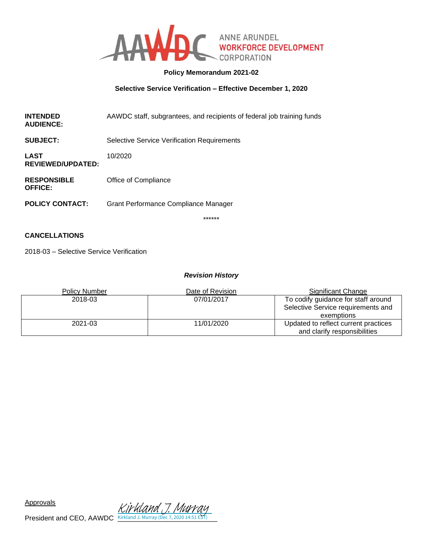

## **Policy Memorandum 2021-02**

#### **Selective Service Verification – Effective December 1, 2020**

**INTENDED AUDIENCE:** AAWDC staff, subgrantees, and recipients of federal job training funds

**SUBJECT:** Selective Service Verification Requirements

**LAST REVIEWED/UPDATED:** 10/2020

**RESPONSIBLE OFFICE:** Office of Compliance

**POLICY CONTACT:** Grant Performance Compliance Manager

\*\*\*\*\*\*

## **CANCELLATIONS**

2018-03 – Selective Service Verification

#### *Revision History*

| <b>Policy Number</b> | Date of Revision | Significant Change                                                   |
|----------------------|------------------|----------------------------------------------------------------------|
| 2018-03              | 07/01/2017       | To codify guidance for staff around                                  |
|                      |                  | Selective Service requirements and                                   |
|                      |                  | exemptions                                                           |
| 2021-03              | 11/01/2020       | Updated to reflect current practices<br>and clarify responsibilities |

President and CEO, AAWDC **Kirkland J. Murray (Dec 7, 2020 14:51 EST)** Kirkland T. Mu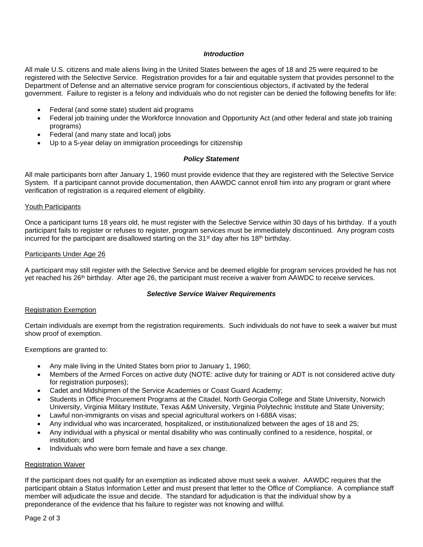#### *Introduction*

All male U.S. citizens and male aliens living in the United States between the ages of 18 and 25 were required to be registered with the Selective Service. Registration provides for a fair and equitable system that provides personnel to the Department of Defense and an alternative service program for conscientious objectors, if activated by the federal government. Failure to register is a felony and individuals who do not register can be denied the following benefits for life:

- Federal (and some state) student aid programs
- Federal job training under the Workforce Innovation and Opportunity Act (and other federal and state job training programs)
- Federal (and many state and local) jobs
- Up to a 5-year delay on immigration proceedings for citizenship

#### *Policy Statement*

All male participants born after January 1, 1960 must provide evidence that they are registered with the Selective Service System. If a participant cannot provide documentation, then AAWDC cannot enroll him into any program or grant where verification of registration is a required element of eligibility.

#### Youth Participants

Once a participant turns 18 years old, he must register with the Selective Service within 30 days of his birthday. If a youth participant fails to register or refuses to register, program services must be immediately discontinued. Any program costs incurred for the participant are disallowed starting on the  $31<sup>st</sup>$  day after his 18<sup>th</sup> birthday.

#### Participants Under Age 26

A participant may still register with the Selective Service and be deemed eligible for program services provided he has not yet reached his 26<sup>th</sup> birthday. After age 26, the participant must receive a waiver from AAWDC to receive services.

#### *Selective Service Waiver Requirements*

#### Registration Exemption

Certain individuals are exempt from the registration requirements. Such individuals do not have to seek a waiver but must show proof of exemption.

Exemptions are granted to:

- Any male living in the United States born prior to January 1, 1960;
- Members of the Armed Forces on active duty (NOTE: active duty for training or ADT is not considered active duty for registration purposes);
- Cadet and Midshipmen of the Service Academies or Coast Guard Academy;
- Students in Office Procurement Programs at the Citadel, North Georgia College and State University, Norwich University, Virginia Military Institute, Texas A&M University, Virginia Polytechnic Institute and State University;
- Lawful non-immigrants on visas and special agricultural workers on I-688A visas;
- Any individual who was incarcerated, hospitalized, or institutionalized between the ages of 18 and 25;
- Any individual with a physical or mental disability who was continually confined to a residence, hospital, or institution; and
- Individuals who were born female and have a sex change.

#### Registration Waiver

If the participant does not qualify for an exemption as indicated above must seek a waiver. AAWDC requires that the participant obtain a Status Information Letter and must present that letter to the Office of Compliance. A compliance staff member will adjudicate the issue and decide. The standard for adjudication is that the individual show by a preponderance of the evidence that his failure to register was not knowing and willful.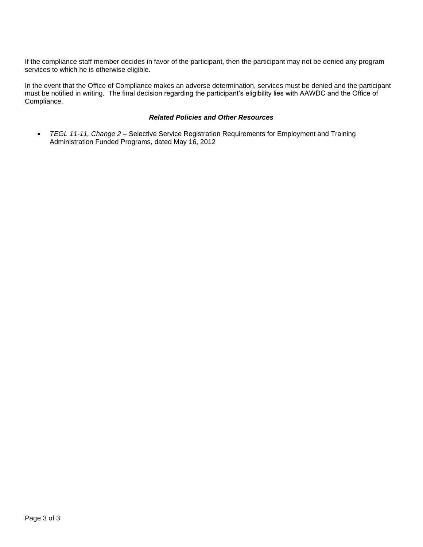If the compliance staff member decides in favor of the participant, then the participant may not be denied any program services to which he is otherwise eligible.

In the event that the Office of Compliance makes an adverse determination, services must be denied and the participant must be notified in writing. The final decision regarding the participant's eligibility lies with AAWDC and the Office of Compliance.

# *Related Policies and Other Resources*

• *TEGL 11-11, Change 2* – Selective Service Registration Requirements for Employment and Training Administration Funded Programs, dated May 16, 2012